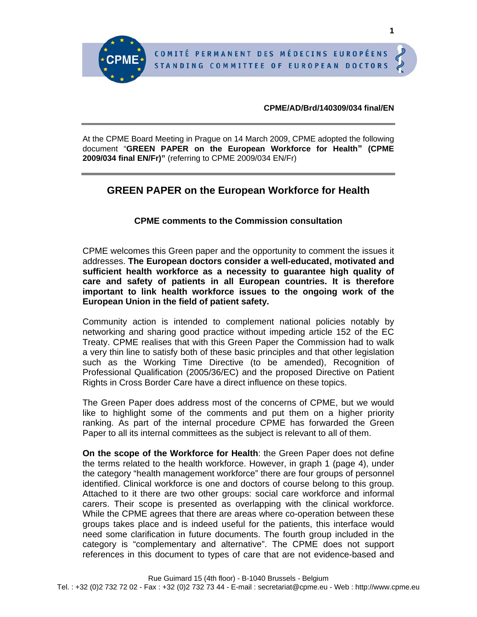#### **CPME/AD/Brd/140309/034 final/EN**

At the CPME Board Meeting in Prague on 14 March 2009, CPME adopted the following document "**GREEN PAPER on the European Workforce for Health" (CPME 2009/034 final EN/Fr)"** (referring to CPME 2009/034 EN/Fr)

# **GREEN PAPER on the European Workforce for Health**

## **CPME comments to the Commission consultation**

CPME welcomes this Green paper and the opportunity to comment the issues it addresses. **The European doctors consider a well-educated, motivated and sufficient health workforce as a necessity to guarantee high quality of care and safety of patients in all European countries. It is therefore important to link health workforce issues to the ongoing work of the European Union in the field of patient safety.** 

Community action is intended to complement national policies notably by networking and sharing good practice without impeding article 152 of the EC Treaty. CPME realises that with this Green Paper the Commission had to walk a very thin line to satisfy both of these basic principles and that other legislation such as the Working Time Directive (to be amended), Recognition of Professional Qualification (2005/36/EC) and the proposed Directive on Patient Rights in Cross Border Care have a direct influence on these topics.

The Green Paper does address most of the concerns of CPME, but we would like to highlight some of the comments and put them on a higher priority ranking. As part of the internal procedure CPME has forwarded the Green Paper to all its internal committees as the subject is relevant to all of them.

**On the scope of the Workforce for Health**: the Green Paper does not define the terms related to the health workforce. However, in graph 1 (page 4), under the category "health management workforce" there are four groups of personnel identified. Clinical workforce is one and doctors of course belong to this group. Attached to it there are two other groups: social care workforce and informal carers. Their scope is presented as overlapping with the clinical workforce. While the CPME agrees that there are areas where co-operation between these groups takes place and is indeed useful for the patients, this interface would need some clarification in future documents. The fourth group included in the category is "complementary and alternative". The CPME does not support references in this document to types of care that are not evidence-based and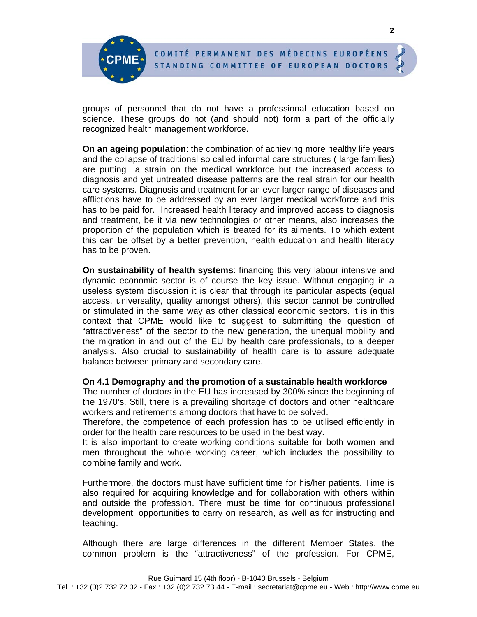groups of personnel that do not have a professional education based on science. These groups do not (and should not) form a part of the officially recognized health management workforce.

**On an ageing population**: the combination of achieving more healthy life years and the collapse of traditional so called informal care structures ( large families) are putting a strain on the medical workforce but the increased access to diagnosis and yet untreated disease patterns are the real strain for our health care systems. Diagnosis and treatment for an ever larger range of diseases and afflictions have to be addressed by an ever larger medical workforce and this has to be paid for. Increased health literacy and improved access to diagnosis and treatment, be it via new technologies or other means, also increases the proportion of the population which is treated for its ailments. To which extent this can be offset by a better prevention, health education and health literacy has to be proven.

**On sustainability of health systems**: financing this very labour intensive and dynamic economic sector is of course the key issue. Without engaging in a useless system discussion it is clear that through its particular aspects (equal access, universality, quality amongst others), this sector cannot be controlled or stimulated in the same way as other classical economic sectors. It is in this context that CPME would like to suggest to submitting the question of "attractiveness" of the sector to the new generation, the unequal mobility and the migration in and out of the EU by health care professionals, to a deeper analysis. Also crucial to sustainability of health care is to assure adequate balance between primary and secondary care.

#### **On 4.1 Demography and the promotion of a sustainable health workforce**

The number of doctors in the EU has increased by 300% since the beginning of the 1970's. Still, there is a prevailing shortage of doctors and other healthcare workers and retirements among doctors that have to be solved.

Therefore, the competence of each profession has to be utilised efficiently in order for the health care resources to be used in the best way.

It is also important to create working conditions suitable for both women and men throughout the whole working career, which includes the possibility to combine family and work.

Furthermore, the doctors must have sufficient time for his/her patients. Time is also required for acquiring knowledge and for collaboration with others within and outside the profession. There must be time for continuous professional development, opportunities to carry on research, as well as for instructing and teaching.

Although there are large differences in the different Member States, the common problem is the "attractiveness" of the profession. For CPME,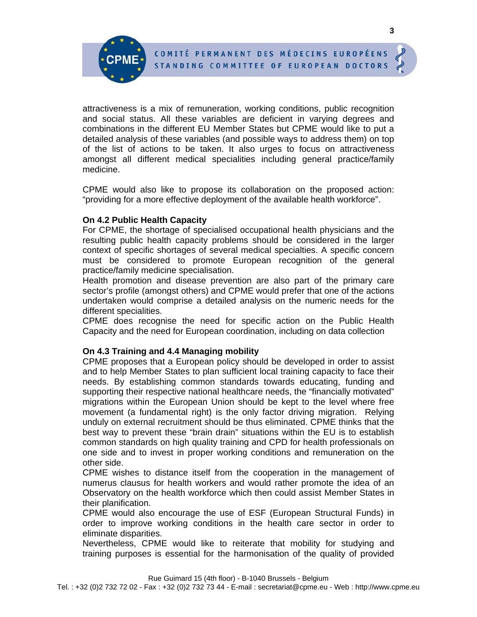attractiveness is a mix of remuneration, working conditions, public recognition and social status. All these variables are deficient in varying degrees and combinations in the different EU Member States but CPME would like to put a detailed analysis of these variables (and possible ways to address them) on top of the list of actions to be taken. It also urges to focus on attractiveness amongst all different medical specialities including general practice/family medicine.

CPME would also like to propose its collaboration on the proposed action: "providing for a more effective deployment of the available health workforce".

## **On 4.2 Public Health Capacity**

For CPME, the shortage of specialised occupational health physicians and the resulting public health capacity problems should be considered in the larger context of specific shortages of several medical specialties. A specific concern must be considered to promote European recognition of the general practice/family medicine specialisation.

Health promotion and disease prevention are also part of the primary care sector's profile (amongst others) and CPME would prefer that one of the actions undertaken would comprise a detailed analysis on the numeric needs for the different specialities.

CPME does recognise the need for specific action on the Public Health Capacity and the need for European coordination, including on data collection

## **On 4.3 Training and 4.4 Managing mobility**

CPME proposes that a European policy should be developed in order to assist and to help Member States to plan sufficient local training capacity to face their needs. By establishing common standards towards educating, funding and supporting their respective national healthcare needs, the "financially motivated" migrations within the European Union should be kept to the level where free movement (a fundamental right) is the only factor driving migration. Relying unduly on external recruitment should be thus eliminated. CPME thinks that the best way to prevent these "brain drain" situations within the EU is to establish common standards on high quality training and CPD for health professionals on one side and to invest in proper working conditions and remuneration on the other side.

CPME wishes to distance itself from the cooperation in the management of numerus clausus for health workers and would rather promote the idea of an Observatory on the health workforce which then could assist Member States in their planification.

CPME would also encourage the use of ESF (European Structural Funds) in order to improve working conditions in the health care sector in order to eliminate disparities.

Nevertheless, CPME would like to reiterate that mobility for studying and training purposes is essential for the harmonisation of the quality of provided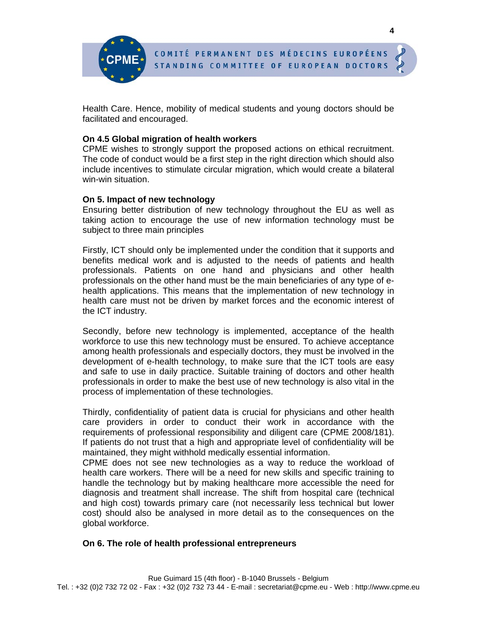Health Care. Hence, mobility of medical students and young doctors should be facilitated and encouraged.

#### **On 4.5 Global migration of health workers**

CPME wishes to strongly support the proposed actions on ethical recruitment. The code of conduct would be a first step in the right direction which should also include incentives to stimulate circular migration, which would create a bilateral win-win situation.

#### **On 5. Impact of new technology**

Ensuring better distribution of new technology throughout the EU as well as taking action to encourage the use of new information technology must be subject to three main principles

Firstly, ICT should only be implemented under the condition that it supports and benefits medical work and is adjusted to the needs of patients and health professionals. Patients on one hand and physicians and other health professionals on the other hand must be the main beneficiaries of any type of ehealth applications. This means that the implementation of new technology in health care must not be driven by market forces and the economic interest of the ICT industry.

Secondly, before new technology is implemented, acceptance of the health workforce to use this new technology must be ensured. To achieve acceptance among health professionals and especially doctors, they must be involved in the development of e-health technology, to make sure that the ICT tools are easy and safe to use in daily practice. Suitable training of doctors and other health professionals in order to make the best use of new technology is also vital in the process of implementation of these technologies.

Thirdly, confidentiality of patient data is crucial for physicians and other health care providers in order to conduct their work in accordance with the requirements of professional responsibility and diligent care (CPME 2008/181). If patients do not trust that a high and appropriate level of confidentiality will be maintained, they might withhold medically essential information.

CPME does not see new technologies as a way to reduce the workload of health care workers. There will be a need for new skills and specific training to handle the technology but by making healthcare more accessible the need for diagnosis and treatment shall increase. The shift from hospital care (technical and high cost) towards primary care (not necessarily less technical but lower cost) should also be analysed in more detail as to the consequences on the global workforce.

#### **On 6. The role of health professional entrepreneurs**

**4**